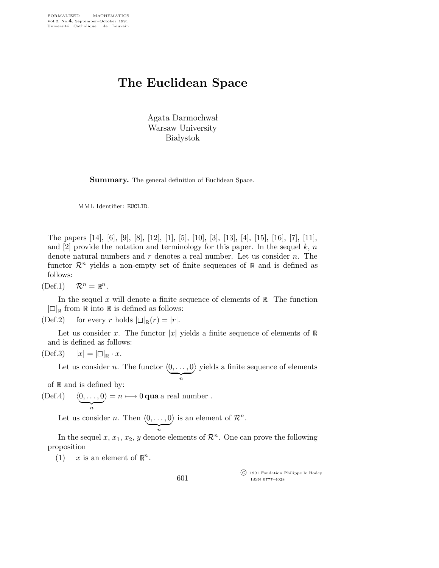## The Euclidean Space

Agata Darmochwał Warsaw University **Białystok** 

**Summary.** The general definition of Euclidean Space.

MML Identifier: EUCLID.

The papers [14], [6], [9], [8], [12], [1], [5], [10], [3], [13], [4], [15], [16], [7], [11], and [2] provide the notation and terminology for this paper. In the sequel  $k, n$ denote natural numbers and  $r$  denotes a real number. Let us consider  $n$ . The functor  $\mathcal{R}^n$  yields a non-empty set of finite sequences of  $\mathbb R$  and is defined as follows:

 $(\text{Def.1}) \quad \mathcal{R}^n = \mathbb{R}^n.$ 

In the sequel  $x$  will denote a finite sequence of elements of  $\mathbb{R}$ . The function  $|\Box|_{\mathbb{R}}$  from  $\mathbb R$  into  $\mathbb R$  is defined as follows:

(Def.2) for every r holds  $|\Box|_{\mathbb{R}}(r) = |r|$ .

Let us consider x. The functor |x| yields a finite sequence of elements of  $\mathbb R$ and is defined as follows:

$$
(\text{Def.3}) \quad |x| = |\Box|_{\mathbb{R}} \cdot x.
$$

Let us consider *n*. The functor  $(0, \ldots, 0)$  $\overline{\phantom{a}}_n$ fields a finite sequence of elements

of  $\mathbb R$  and is defined by:

 $(\text{Def.4}) \quad \langle 0, \ldots, 0 \rangle$  $\overline{\phantom{a}}_n$  $i \rangle = n \longmapsto 0$  qua a real number.

Let us consider *n*. Then  $\langle 0, \ldots, 0 \rangle$ is an element of  $\mathcal{R}^n$ .

 $\overbrace{\phantom{aaaaa}}^n$ 

In the sequel x,  $x_1, x_2, y$  denote elements of  $\mathcal{R}^n$ . One can prove the following proposition

(1)  $x$  is an element of  $\mathbb{R}^n$ .

601

 c 1991 Fondation Philippe le Hodey ISSN 0777–4028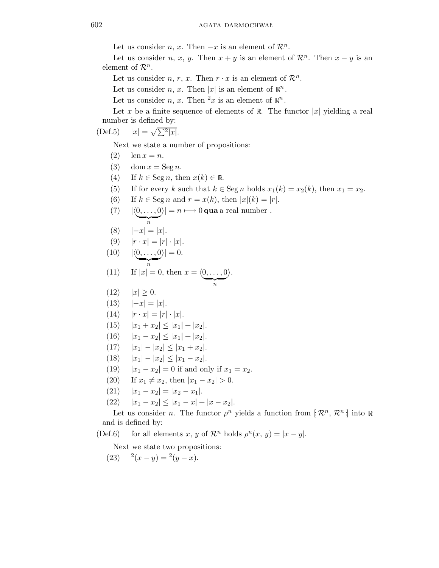Let us consider *n*, *x*. Then  $-x$  is an element of  $\mathcal{R}^n$ .

Let us consider *n*, *x*, *y*. Then  $x + y$  is an element of  $\mathcal{R}^n$ . Then  $x - y$  is an element of  $\mathcal{R}^n$ .

Let us consider *n*, *r*, *x*. Then  $r \cdot x$  is an element of  $\mathcal{R}^n$ .

Let us consider *n*, *x*. Then |*x*| is an element of  $\mathbb{R}^n$ .

Let us consider *n*, *x*. Then <sup>2</sup>*x* is an element of  $\mathbb{R}^n$ .

Let x be a finite sequence of elements of R. The functor  $|x|$  yielding a real number is defined by:

 $(Def.5)$  $|x|=\sqrt{\sum^2|x|}.$ 

Next we state a number of propositions:

- (2)  $\ln x = n$ .
- (3) dom  $x = \text{Seg } n$ .
- (4) If  $k \in \text{Seg } n$ , then  $x(k) \in \mathbb{R}$ .
- (5) If for every k such that  $k \in \text{Seg } n$  holds  $x_1(k) = x_2(k)$ , then  $x_1 = x_2$ .
- (6) If  $k \in \text{Seg } n$  and  $r = x(k)$ , then  $|x|(k) = |r|$ .

(7) 
$$
|\langle 0, \ldots, 0 \rangle| = n \longmapsto 0 \text{ qua a real number }.
$$

$$
(8) \qquad |-x| = |x|.
$$

$$
(9) \qquad |r \cdot x| = |r| \cdot |x|.
$$

$$
(10) \qquad |\langle \underbrace{0,\ldots,0}_{n}\rangle| = 0.
$$

(11) If 
$$
|x| = 0
$$
, then  $x = \langle \underbrace{0, \dots, 0}_{n} \rangle$ .

- (12)  $|x| \ge 0$ .
- (13)  $|-x| = |x|$ .
- $(14)$   $|r \cdot x| = |r| \cdot |x|.$
- (15)  $|x_1 + x_2| \leq |x_1| + |x_2|$ .
- (16)  $|x_1 x_2| \le |x_1| + |x_2|$ .
- (17)  $|x_1| |x_2| \le |x_1 + x_2|$ .
- (18)  $|x_1| |x_2| \le |x_1 x_2|$ .
- (19)  $|x_1 x_2| = 0$  if and only if  $x_1 = x_2$ .
- (20) If  $x_1 \neq x_2$ , then  $|x_1 x_2| > 0$ .
- (21)  $|x_1 x_2| = |x_2 x_1|.$
- (22)  $|x_1-x_2| \leq |x_1-x| + |x-x_2|$ .

Let us consider *n*. The functor  $\rho^n$  yields a function from  $\mathbb{R}^n, \mathcal{R}^n$  into R and is defined by:

(Def.6) for all elements x, y of  $\mathcal{R}^n$  holds  $\rho^n(x, y) = |x - y|$ .

Next we state two propositions:

$$
(23) \t 2(x - y) = 2(y - x).
$$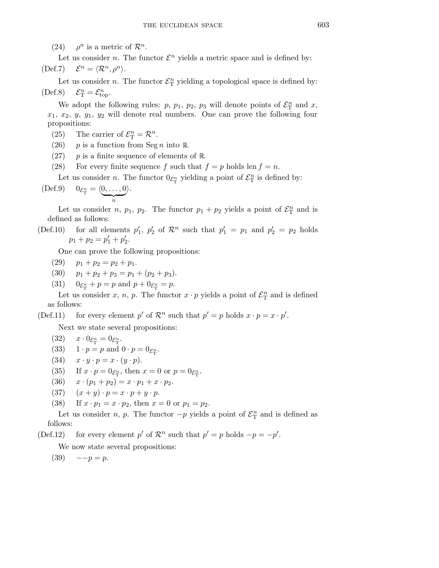$(24)$ <sup>*n*</sup> is a metric of  $\mathcal{R}^n$ .

Let us consider *n*. The functor  $\mathcal{E}^n$  yields a metric space and is defined by:  $(Def.7)$  $n = \langle \mathcal{R}^n, \rho^n \rangle.$ 

Let us consider *n*. The functor  $\mathcal{E}_{\mathcal{T}}^n$  $\frac{n}{\text{T}}$  yielding a topological space is defined by:  $(Def.8)$  $T^n_T = \mathcal{E}^n_{\text{top}}.$ 

We adopt the following rules:  $p, p_1, p_2, p_3$  will denote points of  $\mathcal{E}_{\mathrm{T}}^n$  and  $x$ ,  $x_1, x_2, y, y_1, y_2$  will denote real numbers. One can prove the following four propositions:

- (25) The carrier of  $\mathcal{E}_{\mathrm{T}}^{n} = \mathcal{R}^{n}$ .
- (26) p is a function from Seg n into R.
- $(27)$  p is a finite sequence of elements of R.
- (28) For every finite sequence f such that  $f = p$  holds len  $f = n$ .

Let us consider *n*. The functor  $0_{\mathcal{E}_{\mathrm{T}}^n}$  yielding a point of  $\mathcal{E}_{\mathrm{T}}^n$  is defined by:

$$
\text{(Def.9)} \qquad 0_{\mathcal{E}_{\mathrm{T}}^n} = \langle \underbrace{0, \ldots, 0}_{n} \rangle.
$$

Let us consider *n*,  $p_1$ ,  $p_2$ . The functor  $p_1 + p_2$  yields a point of  $\mathcal{E}_{\rm T}^n$  $\mathbf{r}_{\mathrm{T}}^{n}$  and is defined as follows:

(Def.10) for all elements  $p'_1$  $'_{1}, p'_{2}$ '<sub>2</sub> of  $\mathcal{R}^n$  such that  $p'_1 = p_1$  and  $p'_2 = p_2$  holds  $p_1 + p_2 = p'_1 + p'_2$  $\frac{1}{2}$ .

One can prove the following propositions:

- $(29)$   $p_1 + p_2 = p_2 + p_1.$
- (30)  $p_1 + p_2 + p_3 = p_1 + (p_2 + p_3).$
- $(31)$  $n_{\rm T}^n + p = p$  and  $p + 0_{\mathcal{E}_{\rm T}^n} = p$ .

Let us consider x, n, p. The functor  $x \cdot p$  yields a point of  $\mathcal{E}_{\Gamma}^{n}$  $\frac{n}{\text{T}}$  and is defined as follows:

(Def.11) for every element p' of  $\mathcal{R}^n$  such that  $p' = p$  holds  $x \cdot p = x \cdot p'$ .

Next we state several propositions:

- (32)  $x \cdot 0_{\mathcal{E}_{\mathrm{T}}^n} = 0_{\mathcal{E}_{\mathrm{T}}^n}.$
- (33)  $1 \cdot p = p$  and  $0 \cdot p = 0_{\mathcal{E}_{\mathrm{T}}^n}$ .
- (34)  $x \cdot y \cdot p = x \cdot (y \cdot p)$ .
- (35) If  $x \cdot p = 0_{\mathcal{E}_{\mathrm{T}}^n}$ , then  $x = 0$  or  $p = 0_{\mathcal{E}_{\mathrm{T}}^n}$ .
- (36)  $x \cdot (p_1 + p_2) = x \cdot p_1 + x \cdot p_2.$
- (37)  $(x + y) \cdot p = x \cdot p + y \cdot p$ .
- (38) If  $x \cdot p_1 = x \cdot p_2$ , then  $x = 0$  or  $p_1 = p_2$ .

Let us consider *n*, *p*. The functor  $-p$  yields a point of  $\mathcal{E}_T^n$  $\frac{n}{\text{T}}$  and is defined as follows:

(Def.12) for every element p' of  $\mathcal{R}^n$  such that  $p' = p$  holds  $-p = -p'$ .

We now state several propositions:

 $(39) \quad -p = p.$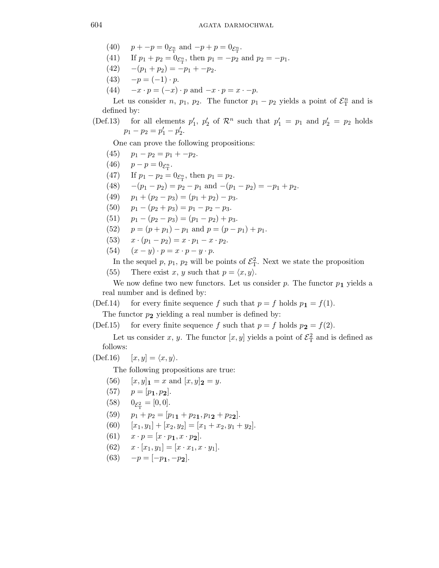- (40)  $p + -p = 0_{\mathcal{E}_{\mathcal{T}}^n}$  and  $-p + p = 0_{\mathcal{E}_{\mathcal{T}}^n}$ .
- (41) If  $p_1 + p_2 = 0 \varepsilon_n$ , then  $p_1 = -p_2$  and  $p_2 = -p_1$ .
- (42)  $-(p_1 + p_2) = -p_1 + -p_2.$
- (43)  $-p = (-1) \cdot p$ .
- (44)  $-x \cdot p = (-x) \cdot p$  and  $-x \cdot p = x \cdot -p$ .

Let us consider *n*,  $p_1$ ,  $p_2$ . The functor  $p_1 - p_2$  yields a point of  $\mathcal{E}_{\mathrm{T}}^n$  and is defined by:

(Def.13) for all elements  $p_1'$  $'_{1}, p'_{2}$ '<sub>2</sub> of  $\mathcal{R}^n$  such that  $p'_1 = p_1$  and  $p'_2 = p_2$  holds  $p_1 - p_2 = p'_1 - p'_2$  $\frac{1}{2}$ .

One can prove the following propositions:

- (45)  $p_1 p_2 = p_1 + -p_2.$
- (46)  $p p = 0_{\mathcal{E}_{\rm T}^n}$ .
- (47) If  $p_1 p_2 = 0_{\mathcal{E}_{\rm T}^n}$ , then  $p_1 = p_2$ .
- (48)  $-(p_1 p_2) = p_2 p_1$  and  $-(p_1 p_2) = -p_1 + p_2$ .
- (49)  $p_1 + (p_2 p_3) = (p_1 + p_2) p_3.$
- (50)  $p_1 (p_2 + p_3) = p_1 p_2 p_3.$
- (51)  $p_1 (p_2 p_3) = (p_1 p_2) + p_3.$
- (52)  $p = (p + p_1) p_1$  and  $p = (p p_1) + p_1$ .
- (53)  $x \cdot (p_1 p_2) = x \cdot p_1 x \cdot p_2.$
- (54)  $(x y) \cdot p = x \cdot p y \cdot p$ .

In the sequel p,  $p_1$ ,  $p_2$  will be points of  $\mathcal{E}_T^2$ . Next we state the proposition

(55) There exist x, y such that  $p = \langle x, y \rangle$ .

We now define two new functors. Let us consider  $p$ . The functor  $p_1$  yields a real number and is defined by:

(Def.14) for every finite sequence f such that  $p = f$  holds  $p_1 = f(1)$ .

The functor  $p_2$  yielding a real number is defined by:

(Def.15) for every finite sequence f such that  $p = f$  holds  $p_2 = f(2)$ .

Let us consider x, y. The functor  $[x, y]$  yields a point of  $\mathcal{E}^2$  and is defined as follows:

 $(Def.16)$   $[x, y] = \langle x, y \rangle.$ 

The following propositions are true:

- (56)  $[x, y]_1 = x$  and  $[x, y]_2 = y$ .
- (57)  $p = [p_1, p_2].$
- (58)  $0_{\mathcal{E}_{\rm T}^2} = [0,0].$
- (59)  $p_1 + p_2 = [p_{11} + p_{21}, p_{12} + p_{22}].$
- (60)  $[x_1, y_1] + [x_2, y_2] = [x_1 + x_2, y_1 + y_2].$
- (61)  $x \cdot p = [x \cdot p_1, x \cdot p_2].$
- (62)  $x \cdot [x_1, y_1] = [x \cdot x_1, x \cdot y_1].$

$$
(63) \quad -p = [-p_1, -p_2].
$$